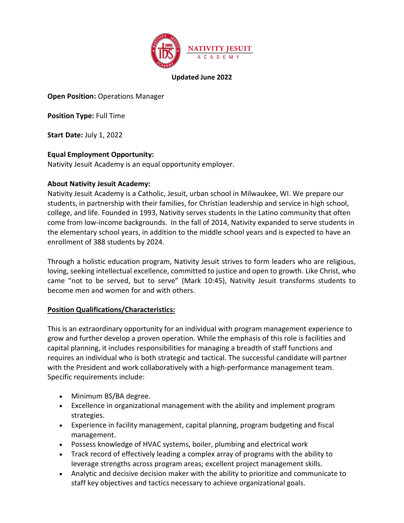

#### Updated June 2022

Open Position: Operations Manager

Position Type: Full Time

Start Date: July 1, 2022

#### Equal Employment Opportunity:

Nativity Jesuit Academy is an equal opportunity employer.

#### About Nativity Jesuit Academy:

Nativity Jesuit Academy is a Catholic, Jesuit, urban school in Milwaukee, WI. We prepare our students, in partnership with their families, for Christian leadership and service in high school, college, and life. Founded in 1993, Nativity serves students in the Latino community that often come from low-income backgrounds. In the fall of 2014, Nativity expanded to serve students in the elementary school years, in addition to the middle school years and is expected to have an enrollment of 388 students by 2024.

Through a holistic education program, Nativity Jesuit strives to form leaders who are religious, loving, seeking intellectual excellence, committed to justice and open to growth. Like Christ, who came "not to be served, but to serve" (Mark 10:45), Nativity Jesuit transforms students to become men and women for and with others.

## Position Qualifications/Characteristics:

This is an extraordinary opportunity for an individual with program management experience to grow and further develop a proven operation. While the emphasis of this role is facilities and capital planning, it includes responsibilities for managing a breadth of staff functions and requires an individual who is both strategic and tactical. The successful candidate will partner with the President and work collaboratively with a high-performance management team. Specific requirements include:

- Minimum BS/BA degree.
- Excellence in organizational management with the ability and implement program strategies.
- Experience in facility management, capital planning, program budgeting and fiscal management.
- Possess knowledge of HVAC systems, boiler, plumbing and electrical work
- Track record of effectively leading a complex array of programs with the ability to leverage strengths across program areas; excellent project management skills.
- Analytic and decisive decision maker with the ability to prioritize and communicate to staff key objectives and tactics necessary to achieve organizational goals.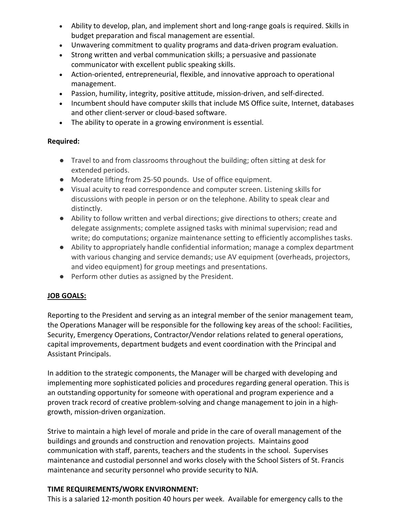- Ability to develop, plan, and implement short and long-range goals is required. Skills in budget preparation and fiscal management are essential.
- Unwavering commitment to quality programs and data-driven program evaluation.
- Strong written and verbal communication skills; a persuasive and passionate communicator with excellent public speaking skills.
- Action-oriented, entrepreneurial, flexible, and innovative approach to operational management.
- Passion, humility, integrity, positive attitude, mission-driven, and self-directed.
- Incumbent should have computer skills that include MS Office suite, Internet, databases and other client-server or cloud-based software.
- The ability to operate in a growing environment is essential.

## Required:

- Travel to and from classrooms throughout the building; often sitting at desk for extended periods.
- Moderate lifting from 25-50 pounds. Use of office equipment.
- Visual acuity to read correspondence and computer screen. Listening skills for discussions with people in person or on the telephone. Ability to speak clear and distinctly.
- Ability to follow written and verbal directions; give directions to others; create and delegate assignments; complete assigned tasks with minimal supervision; read and write; do computations; organize maintenance setting to efficiently accomplishes tasks.
- Ability to appropriately handle confidential information; manage a complex department with various changing and service demands; use AV equipment (overheads, projectors, and video equipment) for group meetings and presentations.
- Perform other duties as assigned by the President.

# JOB GOALS:

Reporting to the President and serving as an integral member of the senior management team, the Operations Manager will be responsible for the following key areas of the school: Facilities, Security, Emergency Operations, Contractor/Vendor relations related to general operations, capital improvements, department budgets and event coordination with the Principal and Assistant Principals.

In addition to the strategic components, the Manager will be charged with developing and implementing more sophisticated policies and procedures regarding general operation. This is an outstanding opportunity for someone with operational and program experience and a proven track record of creative problem-solving and change management to join in a highgrowth, mission-driven organization.

Strive to maintain a high level of morale and pride in the care of overall management of the buildings and grounds and construction and renovation projects. Maintains good communication with staff, parents, teachers and the students in the school. Supervises maintenance and custodial personnel and works closely with the School Sisters of St. Francis maintenance and security personnel who provide security to NJA.

## TIME REQUIREMENTS/WORK ENVIRONMENT:

This is a salaried 12-month position 40 hours per week. Available for emergency calls to the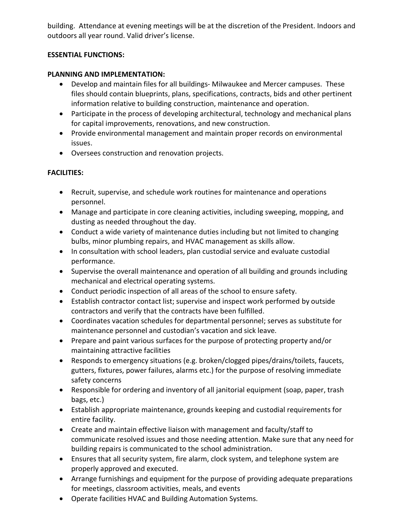building. Attendance at evening meetings will be at the discretion of the President. Indoors and outdoors all year round. Valid driver's license.

## ESSENTIAL FUNCTIONS:

## PLANNING AND IMPLEMENTATION:

- Develop and maintain files for all buildings- Milwaukee and Mercer campuses. These files should contain blueprints, plans, specifications, contracts, bids and other pertinent information relative to building construction, maintenance and operation.
- Participate in the process of developing architectural, technology and mechanical plans for capital improvements, renovations, and new construction.
- Provide environmental management and maintain proper records on environmental issues.
- Oversees construction and renovation projects.

## FACILITIES:

- Recruit, supervise, and schedule work routines for maintenance and operations personnel.
- Manage and participate in core cleaning activities, including sweeping, mopping, and dusting as needed throughout the day.
- Conduct a wide variety of maintenance duties including but not limited to changing bulbs, minor plumbing repairs, and HVAC management as skills allow.
- In consultation with school leaders, plan custodial service and evaluate custodial performance.
- Supervise the overall maintenance and operation of all building and grounds including mechanical and electrical operating systems.
- Conduct periodic inspection of all areas of the school to ensure safety.
- Establish contractor contact list; supervise and inspect work performed by outside contractors and verify that the contracts have been fulfilled.
- Coordinates vacation schedules for departmental personnel; serves as substitute for maintenance personnel and custodian's vacation and sick leave.
- Prepare and paint various surfaces for the purpose of protecting property and/or maintaining attractive facilities
- Responds to emergency situations (e.g. broken/clogged pipes/drains/toilets, faucets, gutters, fixtures, power failures, alarms etc.) for the purpose of resolving immediate safety concerns
- Responsible for ordering and inventory of all janitorial equipment (soap, paper, trash bags, etc.)
- Establish appropriate maintenance, grounds keeping and custodial requirements for entire facility.
- Create and maintain effective liaison with management and faculty/staff to communicate resolved issues and those needing attention. Make sure that any need for building repairs is communicated to the school administration.
- Ensures that all security system, fire alarm, clock system, and telephone system are properly approved and executed.
- Arrange furnishings and equipment for the purpose of providing adequate preparations for meetings, classroom activities, meals, and events
- Operate facilities HVAC and Building Automation Systems.